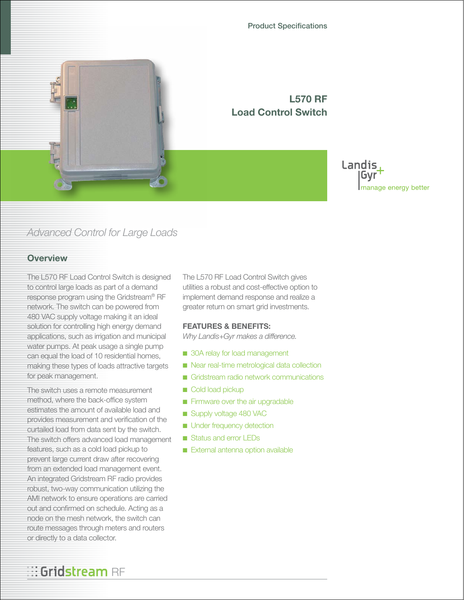

**L570 RF Load Control Switch** 

### Landis, Gvr manage energy better

## *Advanced Control for Large Loads*

### **Overview**

The L570 RF Load Control Switch is designed to control large loads as part of a demand response program using the Gridstream® RF network. The switch can be powered from 480 VAC supply voltage making it an ideal solution for controlling high energy demand applications, such as irrigation and municipal water pumps. At peak usage a single pump can equal the load of 10 residential homes, making these types of loads attractive targets for peak management.

The switch uses a remote measurement method, where the back-office system estimates the amount of available load and provides measurement and verification of the curtailed load from data sent by the switch. The switch offers advanced load management features, such as a cold load pickup to prevent large current draw after recovering from an extended load management event. An integrated Gridstream RF radio provides robust, two-way communication utilizing the AMI network to ensure operations are carried out and confirmed on schedule. Acting as a node on the mesh network, the switch can route messages through meters and routers or directly to a data collector.

**Gridstream** RF

The L570 RF Load Control Switch gives utilities a robust and cost-effective option to implement demand response and realize a greater return on smart grid investments.

#### **FEATURES & BENEFITS:**

*Why Landis+Gyr makes a difference.*

- 30A relay for load management
- Near real-time metrological data collection
- Gridstream radio network communications
- Cold load pickup
- Firmware over the air upgradable
- Supply voltage 480 VAC
- Under frequency detection
- Status and error LEDs
- External antenna option available